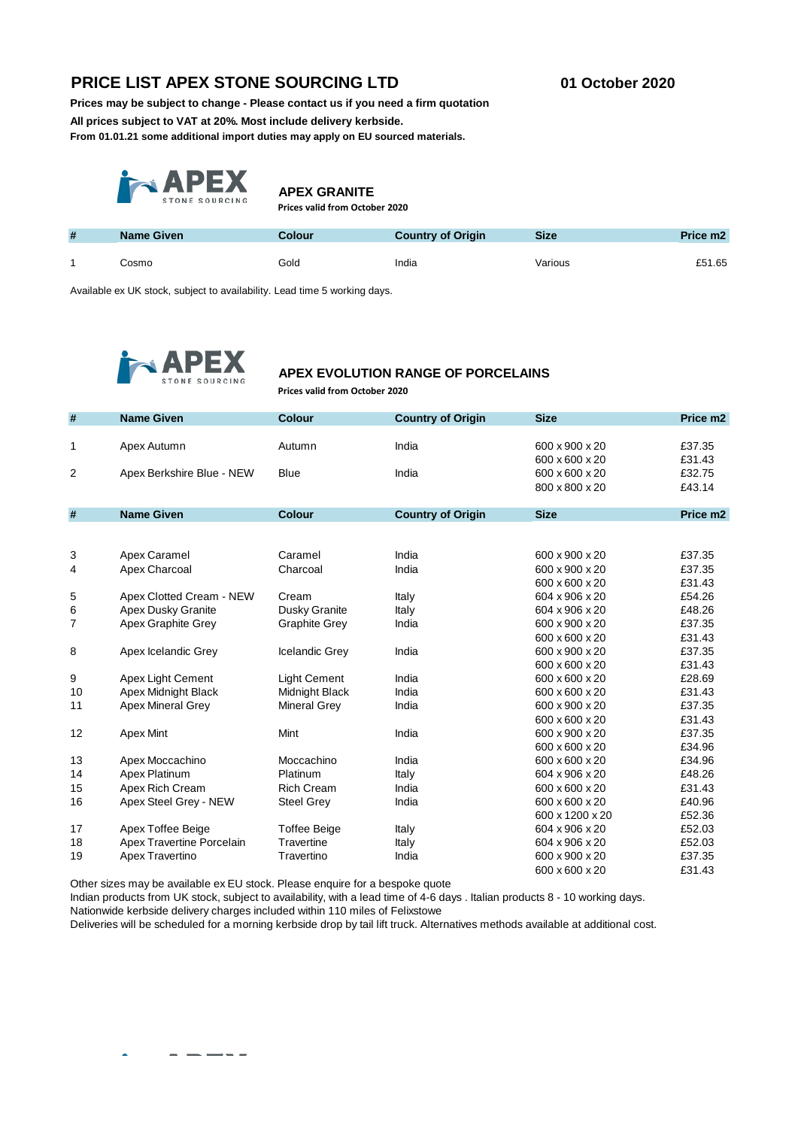# **PRICE LIST APEX STONE SOURCING LTD 01 October 2020**

**Prices may be subject to change - Please contact us if you need a firm quotation**

**All prices subject to VAT at 20%. Most include delivery kerbside.** 

**From 01.01.21 some additional import duties may apply on EU sourced materials.** 



**APEX GRANITE**

**Prices valid from October 2020**

| # | <b>Name Given</b> | <b>Colour</b> | <b>Country of Origin</b> | <b>Size</b> | Price m <sub>2</sub> |
|---|-------------------|---------------|--------------------------|-------------|----------------------|
|   | Cosmo             | Gold          | India                    | Various     | £51.65               |

Available ex UK stock, subject to availability. Lead time 5 working days.



## **APEX EVOLUTION RANGE OF PORCELAINS**

**Prices valid from October 2020**

| $\pmb{\#}$ | <b>Name Given</b>         | <b>Colour</b>        | <b>Country of Origin</b> | <b>Size</b>     | Price m <sub>2</sub> |
|------------|---------------------------|----------------------|--------------------------|-----------------|----------------------|
| 1          | Apex Autumn               | Autumn               | India                    | 600 x 900 x 20  | £37.35               |
|            |                           |                      |                          | 600 x 600 x 20  | £31.43               |
| 2          | Apex Berkshire Blue - NEW | <b>Blue</b>          | India                    | 600 x 600 x 20  | £32.75               |
|            |                           |                      |                          | 800 x 800 x 20  | £43.14               |
|            |                           |                      |                          |                 |                      |
| #          | <b>Name Given</b>         | <b>Colour</b>        | <b>Country of Origin</b> | <b>Size</b>     | Price m <sub>2</sub> |
|            |                           |                      |                          |                 |                      |
|            |                           |                      |                          |                 |                      |
| 3          | Apex Caramel              | Caramel              | India                    | 600 x 900 x 20  | £37.35               |
| 4          | Apex Charcoal             | Charcoal             | India                    | 600 x 900 x 20  | £37.35               |
|            |                           |                      |                          | 600 x 600 x 20  | £31.43               |
| 5          | Apex Clotted Cream - NEW  | Cream                | Italy                    | 604 x 906 x 20  | £54.26               |
| 6          | Apex Dusky Granite        | Dusky Granite        | Italy                    | 604 x 906 x 20  | £48.26               |
| 7          | Apex Graphite Grey        | <b>Graphite Grey</b> | India                    | 600 x 900 x 20  | £37.35               |
|            |                           |                      |                          | 600 x 600 x 20  | £31.43               |
| 8          | Apex Icelandic Grey       | Icelandic Grey       | India                    | 600 x 900 x 20  | £37.35               |
|            |                           |                      |                          | 600 x 600 x 20  | £31.43               |
| 9          | Apex Light Cement         | <b>Light Cement</b>  | India                    | 600 x 600 x 20  | £28.69               |
| 10         | Apex Midnight Black       | Midnight Black       | India                    | 600 x 600 x 20  | £31.43               |
| 11         | <b>Apex Mineral Grey</b>  | <b>Mineral Grey</b>  | India                    | 600 x 900 x 20  | £37.35               |
|            |                           |                      |                          | 600 x 600 x 20  | £31.43               |
| 12         | Apex Mint                 | Mint                 | India                    | 600 x 900 x 20  | £37.35               |
|            |                           |                      |                          | 600 x 600 x 20  | £34.96               |
| 13         | Apex Moccachino           | Moccachino           | India                    | 600 x 600 x 20  | £34.96               |
| 14         | Apex Platinum             | Platinum             | Italy                    | 604 x 906 x 20  | £48.26               |
| 15         | Apex Rich Cream           | <b>Rich Cream</b>    | India                    | 600 x 600 x 20  | £31.43               |
| 16         | Apex Steel Grey - NEW     | <b>Steel Grey</b>    | India                    | 600 x 600 x 20  | £40.96               |
|            |                           |                      |                          | 600 x 1200 x 20 | £52.36               |
| 17         | Apex Toffee Beige         | <b>Toffee Beige</b>  | Italy                    | 604 x 906 x 20  | £52.03               |
| 18         | Apex Travertine Porcelain | Travertine           | Italy                    | 604 x 906 x 20  | £52.03               |
| 19         | Apex Travertino           | Travertino           | India                    | 600 x 900 x 20  | £37.35               |
|            |                           |                      |                          | 600 x 600 x 20  | £31.43               |

Other sizes may be available ex EU stock. Please enquire for a bespoke quote

 $\frac{1}{2}$ 

 $\overline{\phantom{a}}$ 

Indian products from UK stock, subject to availability, with a lead time of 4-6 days . Italian products 8 - 10 working days. Nationwide kerbside delivery charges included within 110 miles of Felixstowe

Deliveries will be scheduled for a morning kerbside drop by tail lift truck. Alternatives methods available at additional cost.